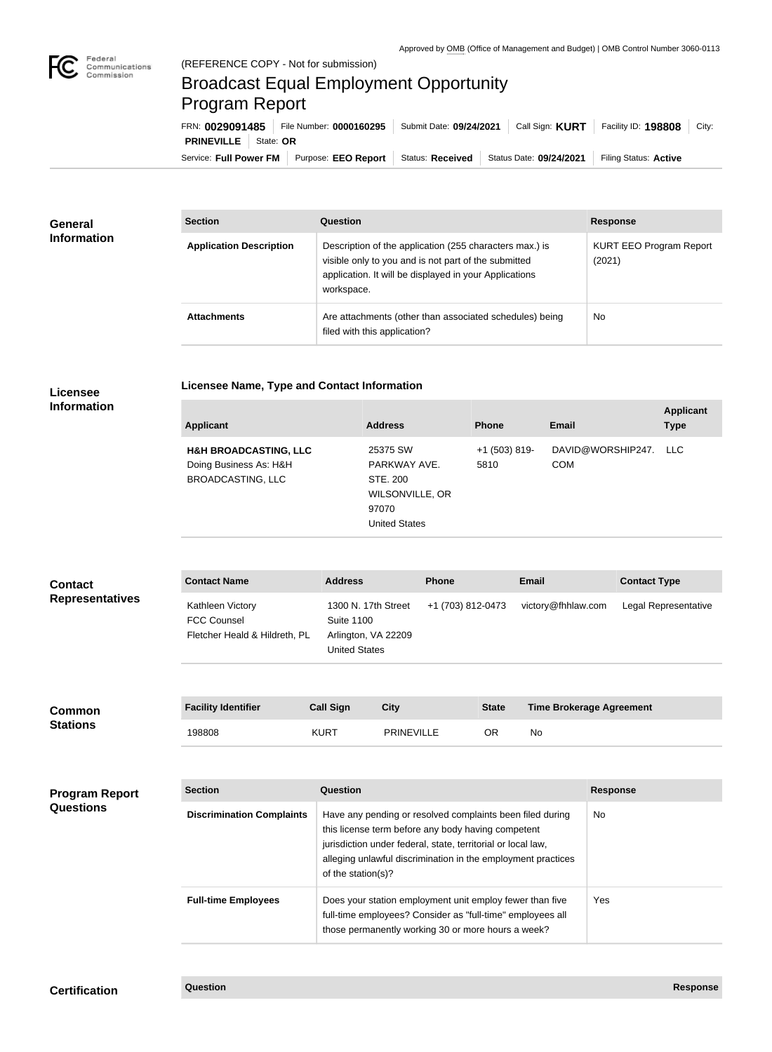## Broadcast Equal Employment Opportunity Program Report

Service: Full Power FM Purpose: EEO Report | Status: Received | Status Date: 09/24/2021 | Filing Status: Active **PRINEVILLE** State: **OR** FRN: **0029091485** File Number: **0000160295** Submit Date: **09/24/2021** Call Sign: **KURT** Facility ID: **198808** City:

| <b>General</b><br><b>Information</b> | <b>Section</b>                 | Question                                                                                                                                                                                | <b>Response</b>                          |
|--------------------------------------|--------------------------------|-----------------------------------------------------------------------------------------------------------------------------------------------------------------------------------------|------------------------------------------|
|                                      | <b>Application Description</b> | Description of the application (255 characters max.) is<br>visible only to you and is not part of the submitted<br>application. It will be displayed in your Applications<br>workspace. | <b>KURT EEO Program Report</b><br>(2021) |
|                                      | <b>Attachments</b>             | Are attachments (other than associated schedules) being<br>filed with this application?                                                                                                 | <b>No</b>                                |

## **Licensee Name, Type and Contact Information**

## **Licensee Information**

| <b>Applicant</b>                                           | <b>Address</b>                                               | <b>Phone</b>            | <b>Email</b>                        | <b>Applicant</b><br><b>Type</b> |
|------------------------------------------------------------|--------------------------------------------------------------|-------------------------|-------------------------------------|---------------------------------|
| <b>H&amp;H BROADCASTING, LLC</b><br>Doing Business As: H&H | 25375 SW<br>PARKWAY AVE.                                     | $+1$ (503) 819-<br>5810 | DAVID@WORSHIP247. LLC<br><b>COM</b> |                                 |
| <b>BROADCASTING, LLC</b>                                   | STE, 200<br>WILSONVILLE, OR<br>97070<br><b>United States</b> |                         |                                     |                                 |

| <b>Contact</b>                                                          | <b>Contact Name</b>                                                     | <b>Address</b>                                                                          | <b>Phone</b> |                   | <b>Email</b>             | <b>Contact Type</b>  |
|-------------------------------------------------------------------------|-------------------------------------------------------------------------|-----------------------------------------------------------------------------------------|--------------|-------------------|--------------------------|----------------------|
| <b>Representatives</b>                                                  | Kathleen Victory<br><b>FCC Counsel</b><br>Fletcher Heald & Hildreth, PL | 1300 N. 17th Street<br><b>Suite 1100</b><br>Arlington, VA 22209<br><b>United States</b> |              | +1 (703) 812-0473 | victory@fhhlaw.com       | Legal Representative |
|                                                                         |                                                                         |                                                                                         |              |                   |                          |                      |
| $\bigcap$ = $\bigcap$ $\bigcap$ $\bigcap$ $\bigcap$ $\bigcap$ $\bigcap$ | <b>Facility Identifier</b>                                              | Call Sign                                                                               | $C$ itv      | <b>State</b>      | Time Brokerage Agreement |                      |

| Common<br><b>Stations</b> | <b>Facility Identifier</b> | <b>Call Sign</b> | City              | <b>State</b> | <b>Time Brokerage Agreement</b> |
|---------------------------|----------------------------|------------------|-------------------|--------------|---------------------------------|
|                           | 198808                     | KURT             | <b>PRINEVILLE</b> | ОR           | No                              |

| <b>Program Report</b><br><b>Questions</b> | <b>Section</b>                   | Question                                                                                                                                                                                                                                                              | <b>Response</b> |
|-------------------------------------------|----------------------------------|-----------------------------------------------------------------------------------------------------------------------------------------------------------------------------------------------------------------------------------------------------------------------|-----------------|
|                                           | <b>Discrimination Complaints</b> | Have any pending or resolved complaints been filed during<br>this license term before any body having competent<br>jurisdiction under federal, state, territorial or local law,<br>alleging unlawful discrimination in the employment practices<br>of the station(s)? | No.             |
|                                           | <b>Full-time Employees</b>       | Does your station employment unit employ fewer than five<br>full-time employees? Consider as "full-time" employees all<br>those permanently working 30 or more hours a week?                                                                                          | Yes.            |